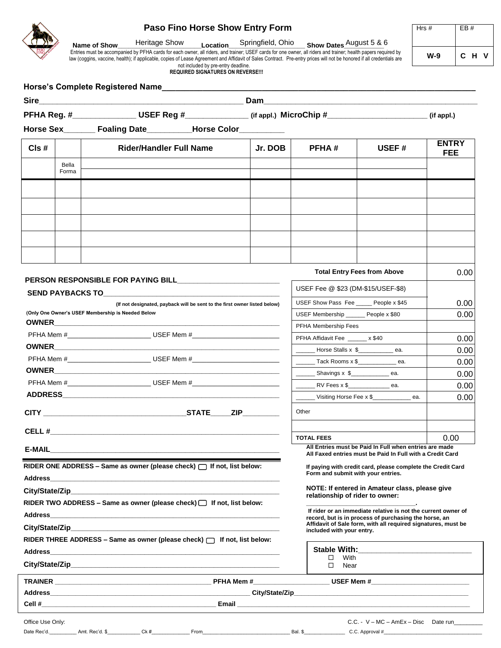# **Paso Fino Horse Show Entry Form**

**Name of Show\_\_\_\_\_\_\_\_\_\_\_\_\_\_\_\_\_\_\_\_\_\_\_Location\_\_\_\_\_\_\_\_\_\_\_\_\_\_\_\_\_\_\_\_\_ Show Dates\_\_\_\_\_\_\_\_\_\_\_**  Heritage Show Incation Springfield, Ohio Show Dates August 5 & 6

Entries must be accompanied by PFHA cards for each owner, all riders, and trainer; USEF cards for one owner, all riders and trainer; health papers required by law (coggins, vaccine, health); if applicable, copies of Lease Agreement and Affidavit of Sales Contract. Pre-entry prices will not be honored if all credentials are not included by pre-entry deadline.

**REQUIRED SIGNATURES ON REVERSE!!!** 

| PFHA Reg. #____________________USEF Reg #________________(if appl.) MicroChip #_____________________             |                                                                                                                       |                                                                                                                                                                                                                                |                                                                                                                        |                                                               | (if appl.)                 |  |
|------------------------------------------------------------------------------------------------------------------|-----------------------------------------------------------------------------------------------------------------------|--------------------------------------------------------------------------------------------------------------------------------------------------------------------------------------------------------------------------------|------------------------------------------------------------------------------------------------------------------------|---------------------------------------------------------------|----------------------------|--|
|                                                                                                                  | Horse Sex________ Foaling Date__________Horse Color__________                                                         |                                                                                                                                                                                                                                |                                                                                                                        |                                                               |                            |  |
| Cls#                                                                                                             | <b>Rider/Handler Full Name</b>                                                                                        | Jr. DOB                                                                                                                                                                                                                        | <b>PFHA#</b>                                                                                                           | USEF#                                                         | <b>ENTRY</b><br><b>FEE</b> |  |
| Bella                                                                                                            |                                                                                                                       |                                                                                                                                                                                                                                |                                                                                                                        |                                                               |                            |  |
| Forma                                                                                                            |                                                                                                                       |                                                                                                                                                                                                                                |                                                                                                                        |                                                               |                            |  |
|                                                                                                                  |                                                                                                                       |                                                                                                                                                                                                                                |                                                                                                                        |                                                               |                            |  |
|                                                                                                                  |                                                                                                                       |                                                                                                                                                                                                                                |                                                                                                                        |                                                               |                            |  |
|                                                                                                                  |                                                                                                                       |                                                                                                                                                                                                                                |                                                                                                                        |                                                               |                            |  |
|                                                                                                                  |                                                                                                                       |                                                                                                                                                                                                                                |                                                                                                                        |                                                               |                            |  |
|                                                                                                                  |                                                                                                                       |                                                                                                                                                                                                                                |                                                                                                                        |                                                               |                            |  |
|                                                                                                                  |                                                                                                                       |                                                                                                                                                                                                                                |                                                                                                                        |                                                               |                            |  |
|                                                                                                                  |                                                                                                                       |                                                                                                                                                                                                                                |                                                                                                                        |                                                               |                            |  |
|                                                                                                                  |                                                                                                                       |                                                                                                                                                                                                                                | <b>Total Entry Fees from Above</b>                                                                                     | 0.00                                                          |                            |  |
| SEND PAYBACKS TO A SERIES AND THE SERIES OF STRIKE SERIES OF STRIKE SERIES OF STRIKE STRIKE STRIKE STRIKE STRIKE |                                                                                                                       |                                                                                                                                                                                                                                | USEF Fee @ \$23 (DM-\$15/USEF-\$8)                                                                                     |                                                               |                            |  |
| (If not designated, payback will be sent to the first owner listed below)                                        |                                                                                                                       |                                                                                                                                                                                                                                | USEF Show Pass Fee _____ People x \$45                                                                                 |                                                               | 0.00                       |  |
| (Only One Owner's USEF Membership is Needed Below                                                                |                                                                                                                       |                                                                                                                                                                                                                                | USEF Membership People x \$80                                                                                          |                                                               | 0.00                       |  |
|                                                                                                                  |                                                                                                                       |                                                                                                                                                                                                                                |                                                                                                                        | PFHA Membership Fees                                          |                            |  |
|                                                                                                                  | PFHA Mem #_______________________________USEF Mem #_____________________________<br>PFHA Affidavit Fee x \$40         |                                                                                                                                                                                                                                |                                                                                                                        |                                                               | 0.00                       |  |
|                                                                                                                  |                                                                                                                       | Horse Stalls x \$                                                                                                                                                                                                              |                                                                                                                        | 0.00                                                          |                            |  |
|                                                                                                                  |                                                                                                                       |                                                                                                                                                                                                                                | ________ Tack Rooms x \$_______________ ea.                                                                            |                                                               | 0.00                       |  |
|                                                                                                                  | PFHA Mem #_______________________________USEF Mem #_____________________________                                      |                                                                                                                                                                                                                                | _________ Shavings x \$________________ ea.                                                                            |                                                               | 0.00                       |  |
|                                                                                                                  |                                                                                                                       |                                                                                                                                                                                                                                | RV Fees x \$______________ ea.<br>$\overline{\phantom{a}}$<br>Uisiting Horse Fee x \$                                  |                                                               | 0.00<br>0.00               |  |
|                                                                                                                  |                                                                                                                       |                                                                                                                                                                                                                                |                                                                                                                        |                                                               |                            |  |
|                                                                                                                  |                                                                                                                       |                                                                                                                                                                                                                                | Other                                                                                                                  |                                                               |                            |  |
|                                                                                                                  |                                                                                                                       |                                                                                                                                                                                                                                | <b>TOTAL FEES</b>                                                                                                      |                                                               |                            |  |
|                                                                                                                  |                                                                                                                       |                                                                                                                                                                                                                                |                                                                                                                        | All Entries must be Paid In Full when entries are made        | 0.00                       |  |
|                                                                                                                  | <b>E-MAIL</b>                                                                                                         |                                                                                                                                                                                                                                |                                                                                                                        | All Faxed entries must be Paid In Full with a Credit Card     |                            |  |
| RIDER ONE ADDRESS – Same as owner (please check) $\Box$ If not, list below:                                      |                                                                                                                       |                                                                                                                                                                                                                                | If paying with credit card, please complete the Credit Card<br>Form and submit with your entries.                      |                                                               |                            |  |
| <b>Address</b>                                                                                                   | <u> 1990 - Johann Harry Harry Harry Harry Harry Harry Harry Harry Harry Harry Harry Harry Harry Harry Harry Harry</u> |                                                                                                                                                                                                                                |                                                                                                                        |                                                               |                            |  |
|                                                                                                                  |                                                                                                                       | NOTE: If entered in Amateur class, please give<br>relationship of rider to owner:                                                                                                                                              |                                                                                                                        |                                                               |                            |  |
|                                                                                                                  | RIDER TWO ADDRESS - Same as owner (please check) $\Box$ If not, list below:                                           |                                                                                                                                                                                                                                |                                                                                                                        | If rider or an immediate relative is not the current owner of |                            |  |
|                                                                                                                  |                                                                                                                       |                                                                                                                                                                                                                                | record, but is in process of purchasing the horse, an<br>Affidavit of Sale form, with all required signatures, must be |                                                               |                            |  |
|                                                                                                                  | City/State/Zip <b>Example 2019</b>                                                                                    |                                                                                                                                                                                                                                | included with your entry.                                                                                              |                                                               |                            |  |
|                                                                                                                  | RIDER THREE ADDRESS - Same as owner (please check)   If not, list below:                                              |                                                                                                                                                                                                                                |                                                                                                                        |                                                               |                            |  |
|                                                                                                                  |                                                                                                                       |                                                                                                                                                                                                                                | $\square$ With                                                                                                         |                                                               |                            |  |
|                                                                                                                  |                                                                                                                       |                                                                                                                                                                                                                                | □ Near                                                                                                                 |                                                               |                            |  |
|                                                                                                                  |                                                                                                                       |                                                                                                                                                                                                                                |                                                                                                                        |                                                               |                            |  |
|                                                                                                                  |                                                                                                                       | Address and the contract of the contract of the contract of the contract of the contract of the contract of the contract of the contract of the contract of the contract of the contract of the contract of the contract of th |                                                                                                                        |                                                               |                            |  |
|                                                                                                                  |                                                                                                                       |                                                                                                                                                                                                                                |                                                                                                                        |                                                               |                            |  |
|                                                                                                                  |                                                                                                                       |                                                                                                                                                                                                                                |                                                                                                                        |                                                               |                            |  |
| Office Use Only:                                                                                                 |                                                                                                                       |                                                                                                                                                                                                                                |                                                                                                                        | $C.C. - V - MC - AMEx - Disc$ Date run                        |                            |  |



**Horse's Complete Registered Name\_\_\_\_\_\_\_\_\_\_\_\_\_\_\_\_\_\_\_\_\_\_\_\_\_\_\_\_\_\_\_\_\_\_\_\_\_\_\_\_\_\_\_\_\_\_\_\_\_\_\_\_\_\_\_\_\_\_\_\_\_\_\_\_\_\_\_\_\_**